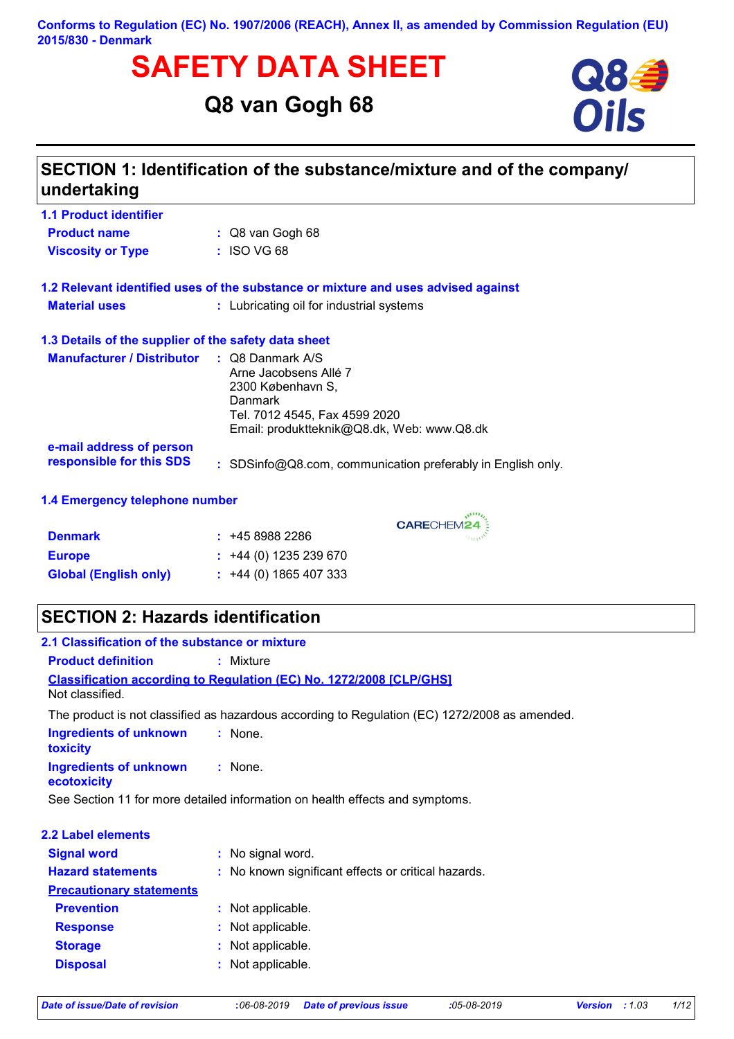#### **Conforms to Regulation (EC) No. 1907/2006 (REACH), Annex II, as amended by Commission Regulation (EU) 2015/830 - Denmark**

# **SAFETY DATA SHEET**<br>
Q8 van Gogh 68<br>
Oils

# **Q8 van Gogh 68**



| <b>1.1 Product identifier</b>                        |                                                                                                                                                                            |
|------------------------------------------------------|----------------------------------------------------------------------------------------------------------------------------------------------------------------------------|
| <b>Product name</b>                                  | $\therefore$ Q8 van Gogh 68                                                                                                                                                |
| <b>Viscosity or Type</b>                             | $:$ ISO VG 68                                                                                                                                                              |
|                                                      | 1.2 Relevant identified uses of the substance or mixture and uses advised against                                                                                          |
| <b>Material uses</b>                                 | : Lubricating oil for industrial systems                                                                                                                                   |
| 1.3 Details of the supplier of the safety data sheet |                                                                                                                                                                            |
| <b>Manufacturer / Distributor</b>                    | $\therefore$ Q8 Danmark A/S<br>Arne Jacobsens Allé 7<br>2300 København S,<br><b>Danmark</b><br>Tel. 7012 4545, Fax 4599 2020<br>Email: produktteknik@Q8.dk, Web: www.Q8.dk |
| e-mail address of person<br>responsible for this SDS | : SDSinfo@Q8.com, communication preferably in English only.                                                                                                                |

CARECHEM24

| <b>Denmark</b>               | : 4589882286                |
|------------------------------|-----------------------------|
| <b>Europe</b>                | $\div$ +44 (0) 1235 239 670 |
| <b>Global (English only)</b> | $\div$ +44 (0) 1865 407 333 |

# **SECTION 2: Hazards identification**

| 2.1 Classification of the substance or mixture |                                                                                               |
|------------------------------------------------|-----------------------------------------------------------------------------------------------|
| <b>Product definition</b>                      | $:$ Mixture                                                                                   |
|                                                | <b>Classification according to Regulation (EC) No. 1272/2008 [CLP/GHS]</b>                    |
| Not classified.                                |                                                                                               |
|                                                | The product is not classified as hazardous according to Regulation (EC) 1272/2008 as amended. |
| <b>Ingredients of unknown</b><br>toxicity      | : None.                                                                                       |
| <b>Ingredients of unknown</b><br>ecotoxicity   | $:$ None.                                                                                     |
|                                                | See Section 11 for more detailed information on health effects and symptoms.                  |
| 2.2 Label elements                             |                                                                                               |
| <b>Signal word</b>                             | : No signal word.                                                                             |
| <b>Hazard statements</b>                       | : No known significant effects or critical hazards.                                           |
| <b>Precautionary statements</b>                |                                                                                               |
| <b>Prevention</b>                              | : Not applicable.                                                                             |
| <b>Response</b>                                | : Not applicable.                                                                             |
| <b>Storage</b>                                 | : Not applicable.                                                                             |
| <b>Disposal</b>                                | Not applicable.                                                                               |
|                                                |                                                                                               |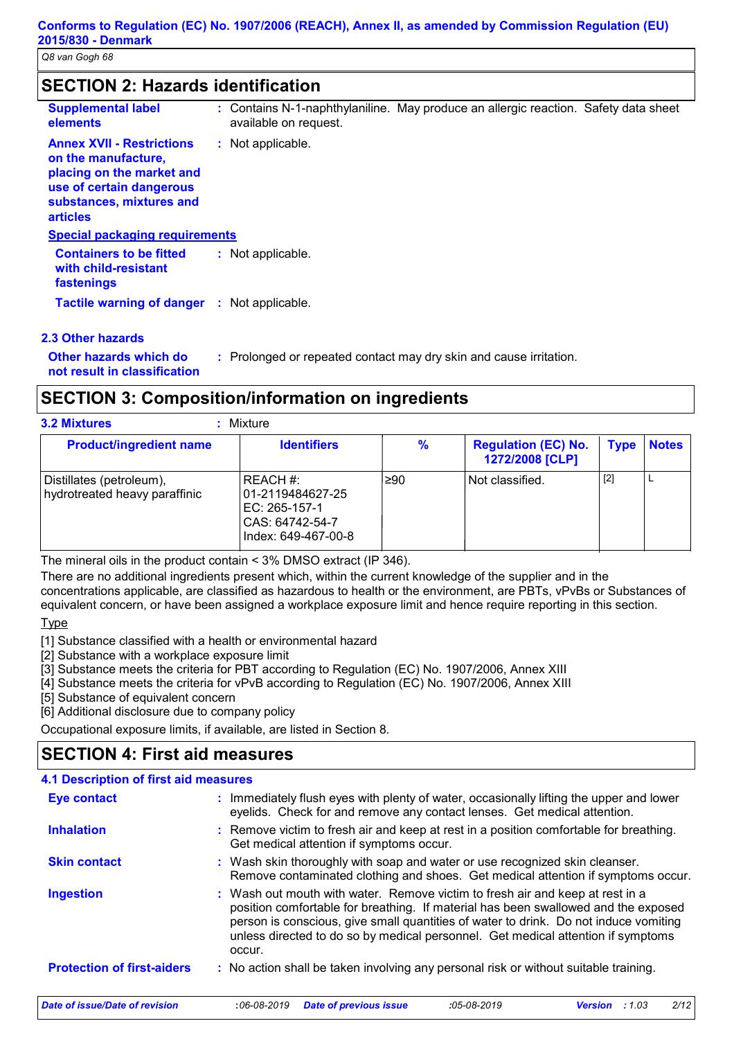| <b>Supplemental label</b><br>elements                                                                                                                           | : Contains N-1-naphthylaniline. May produce an allergic reaction. Safety data sheet<br>available on request. |
|-----------------------------------------------------------------------------------------------------------------------------------------------------------------|--------------------------------------------------------------------------------------------------------------|
| <b>Annex XVII - Restrictions</b><br>on the manufacture,<br>placing on the market and<br>use of certain dangerous<br>substances, mixtures and<br><b>articles</b> | : Not applicable.                                                                                            |
| <b>Special packaging requirements</b>                                                                                                                           |                                                                                                              |
| <b>Containers to be fitted</b><br>with child-resistant<br>fastenings                                                                                            | : Not applicable.                                                                                            |
| <b>Tactile warning of danger</b>                                                                                                                                | : Not applicable.                                                                                            |

# **Other hazards which do :**

: Prolonged or repeated contact may dry skin and cause irritation.

**not result in classification**

# **SECTION 3: Composition/information on ingredients**

**3.2 Mixtures :** Mixture

| <b>Product/ingredient name</b>                            | <b>Identifiers</b>                                                                      | %   | <b>Regulation (EC) No.</b><br>1272/2008 [CLP] | <b>Type</b> | <b>Notes</b> |
|-----------------------------------------------------------|-----------------------------------------------------------------------------------------|-----|-----------------------------------------------|-------------|--------------|
| Distillates (petroleum),<br>hydrotreated heavy paraffinic | REACH #:<br>01-2119484627-25<br>EC: 265-157-1<br>CAS: 64742-54-7<br>Index: 649-467-00-8 | 290 | Not classified.                               | $[2]$       | ►            |

The mineral oils in the product contain < 3% DMSO extract (IP 346).

There are no additional ingredients present which, within the current knowledge of the supplier and in the concentrations applicable, are classified as hazardous to health or the environment, are PBTs, vPvBs or Substances of equivalent concern, or have been assigned a workplace exposure limit and hence require reporting in this section.

Type

[1] Substance classified with a health or environmental hazard

[2] Substance with a workplace exposure limit

[3] Substance meets the criteria for PBT according to Regulation (EC) No. 1907/2006, Annex XIII

[4] Substance meets the criteria for vPvB according to Regulation (EC) No. 1907/2006, Annex XIII

[5] Substance of equivalent concern

[6] Additional disclosure due to company policy

Occupational exposure limits, if available, are listed in Section 8.

# **SECTION 4: First aid measures**

#### Wash out mouth with water. Remove victim to fresh air and keep at rest in a **:** position comfortable for breathing. If material has been swallowed and the exposed person is conscious, give small quantities of water to drink. Do not induce vomiting unless directed to do so by medical personnel. Get medical attention if symptoms occur. **Skin contact** : Immediately flush eyes with plenty of water, occasionally lifting the upper and lower eyelids. Check for and remove any contact lenses. Get medical attention. Wash skin thoroughly with soap and water or use recognized skin cleanser. **:** Remove contaminated clothing and shoes. Get medical attention if symptoms occur. **4.1 Description of first aid measures** Remove victim to fresh air and keep at rest in a position comfortable for breathing. **:** Get medical attention if symptoms occur. **Ingestion Inhalation Eye contact Protection of first-aiders** : No action shall be taken involving any personal risk or without suitable training.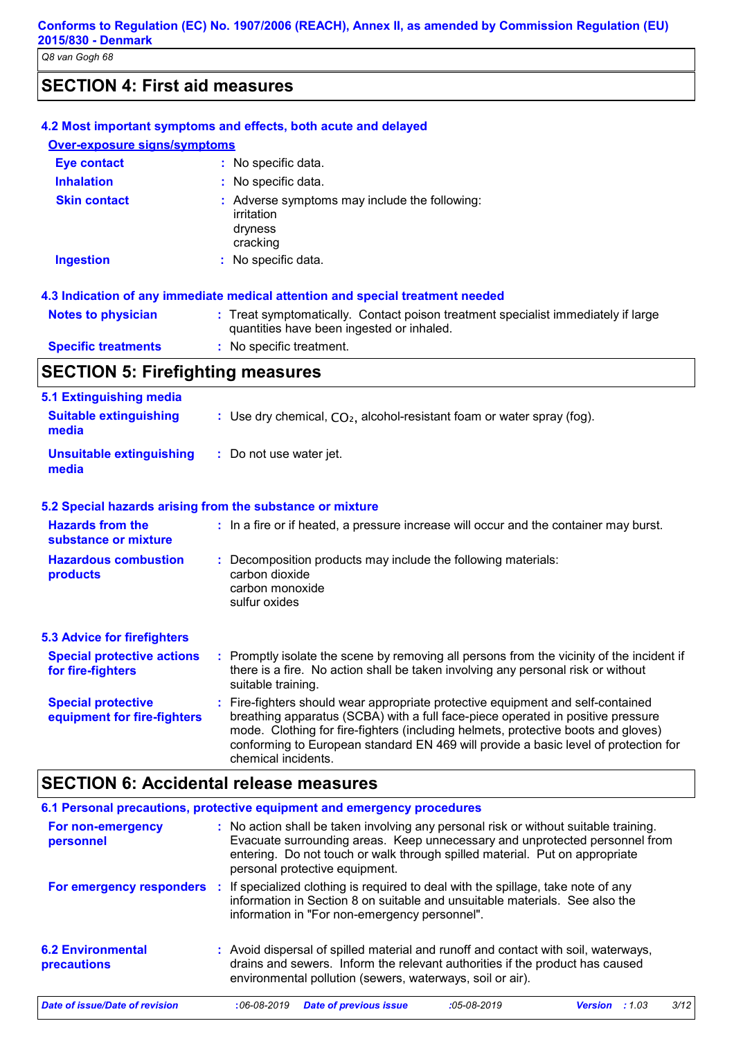# **SECTION 4: First aid measures**

| <b>Eye contact</b>                                       | : No specific data.                                                                                                                                                                                                                                                                                                                                                   |
|----------------------------------------------------------|-----------------------------------------------------------------------------------------------------------------------------------------------------------------------------------------------------------------------------------------------------------------------------------------------------------------------------------------------------------------------|
| <b>Inhalation</b>                                        | : No specific data.                                                                                                                                                                                                                                                                                                                                                   |
| <b>Skin contact</b>                                      | : Adverse symptoms may include the following:<br>irritation<br>dryness<br>cracking                                                                                                                                                                                                                                                                                    |
| <b>Ingestion</b>                                         | : No specific data.                                                                                                                                                                                                                                                                                                                                                   |
|                                                          | 4.3 Indication of any immediate medical attention and special treatment needed                                                                                                                                                                                                                                                                                        |
| <b>Notes to physician</b>                                | : Treat symptomatically. Contact poison treatment specialist immediately if large<br>quantities have been ingested or inhaled.                                                                                                                                                                                                                                        |
| <b>Specific treatments</b>                               | : No specific treatment.                                                                                                                                                                                                                                                                                                                                              |
| <b>SECTION 5: Firefighting measures</b>                  |                                                                                                                                                                                                                                                                                                                                                                       |
| <b>5.1 Extinguishing media</b>                           |                                                                                                                                                                                                                                                                                                                                                                       |
| <b>Suitable extinguishing</b><br>media                   | : Use dry chemical, $CO2$ , alcohol-resistant foam or water spray (fog).                                                                                                                                                                                                                                                                                              |
| <b>Unsuitable extinguishing</b><br>media                 | : Do not use water jet.                                                                                                                                                                                                                                                                                                                                               |
|                                                          | 5.2 Special hazards arising from the substance or mixture                                                                                                                                                                                                                                                                                                             |
| <b>Hazards from the</b><br>substance or mixture          | : In a fire or if heated, a pressure increase will occur and the container may burst.                                                                                                                                                                                                                                                                                 |
| <b>Hazardous combustion</b><br>products                  | : Decomposition products may include the following materials:<br>carbon dioxide<br>carbon monoxide<br>sulfur oxides                                                                                                                                                                                                                                                   |
| <b>5.3 Advice for firefighters</b>                       |                                                                                                                                                                                                                                                                                                                                                                       |
| <b>Special protective actions</b><br>for fire-fighters   | : Promptly isolate the scene by removing all persons from the vicinity of the incident if<br>there is a fire. No action shall be taken involving any personal risk or without<br>suitable training.                                                                                                                                                                   |
| <b>Special protective</b><br>equipment for fire-fighters | : Fire-fighters should wear appropriate protective equipment and self-contained<br>breathing apparatus (SCBA) with a full face-piece operated in positive pressure<br>mode. Clothing for fire-fighters (including helmets, protective boots and gloves)<br>conforming to European standard EN 469 will provide a basic level of protection for<br>chemical incidents. |

| 6.1 Personal precautions, protective equipment and emergency procedures |     |                   |                                                           |               |                                                                                                                                                                                                                                                    |       |      |
|-------------------------------------------------------------------------|-----|-------------------|-----------------------------------------------------------|---------------|----------------------------------------------------------------------------------------------------------------------------------------------------------------------------------------------------------------------------------------------------|-------|------|
| For non-emergency<br>personnel                                          |     |                   | personal protective equipment.                            |               | : No action shall be taken involving any personal risk or without suitable training.<br>Evacuate surrounding areas. Keep unnecessary and unprotected personnel from<br>entering. Do not touch or walk through spilled material. Put on appropriate |       |      |
| For emergency responders                                                | -11 |                   | information in "For non-emergency personnel".             |               | If specialized clothing is required to deal with the spillage, take note of any<br>information in Section 8 on suitable and unsuitable materials. See also the                                                                                     |       |      |
| <b>6.2 Environmental</b><br><b>precautions</b>                          |     |                   | environmental pollution (sewers, waterways, soil or air). |               | : Avoid dispersal of spilled material and runoff and contact with soil, waterways,<br>drains and sewers. Inform the relevant authorities if the product has caused                                                                                 |       |      |
| Date of issue/Date of revision                                          |     | $:06 - 08 - 2019$ | <b>Date of previous issue</b>                             | $:05-08-2019$ | <b>Version</b>                                                                                                                                                                                                                                     | :1.03 | 3/12 |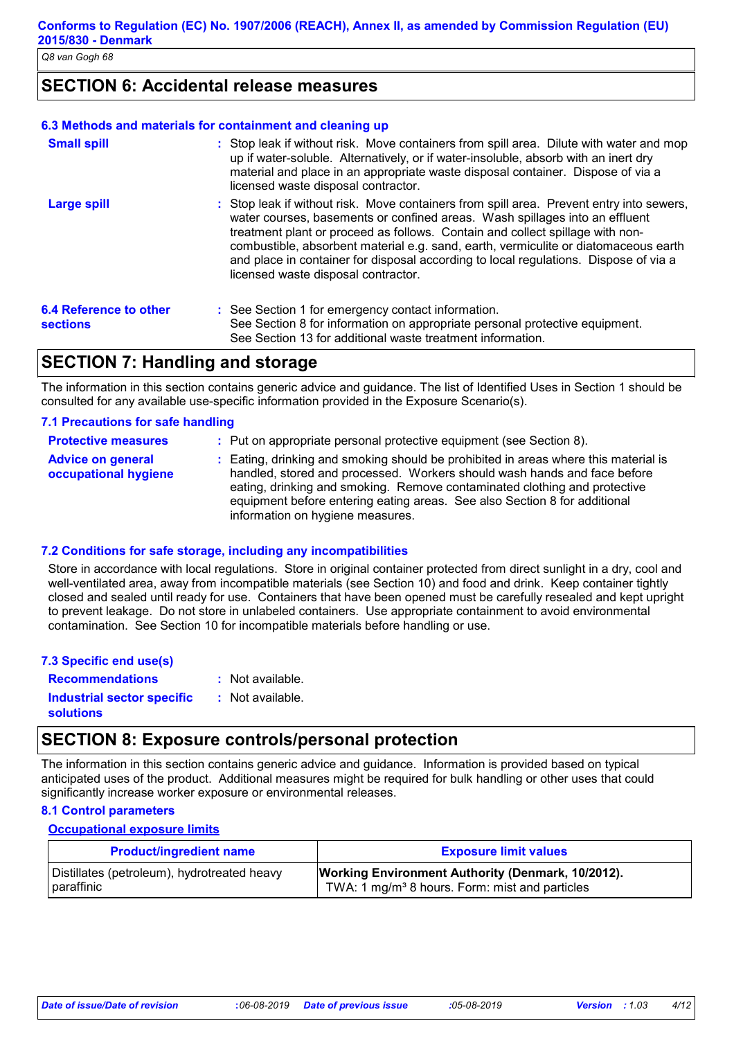# **SECTION 6: Accidental release measures**

#### **6.3 Methods and materials for containment and cleaning up**

| <b>Small spill</b>                               | : Stop leak if without risk. Move containers from spill area. Dilute with water and mop<br>up if water-soluble. Alternatively, or if water-insoluble, absorb with an inert dry<br>material and place in an appropriate waste disposal container. Dispose of via a<br>licensed waste disposal contractor.                                                                                                                                                                       |
|--------------------------------------------------|--------------------------------------------------------------------------------------------------------------------------------------------------------------------------------------------------------------------------------------------------------------------------------------------------------------------------------------------------------------------------------------------------------------------------------------------------------------------------------|
| Large spill                                      | : Stop leak if without risk. Move containers from spill area. Prevent entry into sewers,<br>water courses, basements or confined areas. Wash spillages into an effluent<br>treatment plant or proceed as follows. Contain and collect spillage with non-<br>combustible, absorbent material e.g. sand, earth, vermiculite or diatomaceous earth<br>and place in container for disposal according to local regulations. Dispose of via a<br>licensed waste disposal contractor. |
| <b>6.4 Reference to other</b><br><b>sections</b> | : See Section 1 for emergency contact information.<br>See Section 8 for information on appropriate personal protective equipment.<br>See Section 13 for additional waste treatment information.                                                                                                                                                                                                                                                                                |

### **SECTION 7: Handling and storage**

The information in this section contains generic advice and guidance. The list of Identified Uses in Section 1 should be consulted for any available use-specific information provided in the Exposure Scenario(s).

#### **7.1 Precautions for safe handling**

| <b>Protective measures</b>                       | : Put on appropriate personal protective equipment (see Section 8).                                                                                                                                                                                                                                                                                           |
|--------------------------------------------------|---------------------------------------------------------------------------------------------------------------------------------------------------------------------------------------------------------------------------------------------------------------------------------------------------------------------------------------------------------------|
| <b>Advice on general</b><br>occupational hygiene | : Eating, drinking and smoking should be prohibited in areas where this material is<br>handled, stored and processed. Workers should wash hands and face before<br>eating, drinking and smoking. Remove contaminated clothing and protective<br>equipment before entering eating areas. See also Section 8 for additional<br>information on hygiene measures. |

#### **7.2 Conditions for safe storage, including any incompatibilities**

Store in accordance with local regulations. Store in original container protected from direct sunlight in a dry, cool and well-ventilated area, away from incompatible materials (see Section 10) and food and drink. Keep container tightly closed and sealed until ready for use. Containers that have been opened must be carefully resealed and kept upright to prevent leakage. Do not store in unlabeled containers. Use appropriate containment to avoid environmental contamination. See Section 10 for incompatible materials before handling or use.

| 7.3 Specific end use(s)    |                  |
|----------------------------|------------------|
| <b>Recommendations</b>     | : Not available. |
| Industrial sector specific | : Not available. |
| <b>solutions</b>           |                  |

### **SECTION 8: Exposure controls/personal protection**

The information in this section contains generic advice and guidance. Information is provided based on typical anticipated uses of the product. Additional measures might be required for bulk handling or other uses that could significantly increase worker exposure or environmental releases.

#### **8.1 Control parameters**

#### **Occupational exposure limits**

| <b>Product/ingredient name</b>              | <b>Exposure limit values</b>                               |
|---------------------------------------------|------------------------------------------------------------|
| Distillates (petroleum), hydrotreated heavy | <b>Working Environment Authority (Denmark, 10/2012).</b>   |
| paraffinic                                  | TWA: 1 mg/m <sup>3</sup> 8 hours. Form: mist and particles |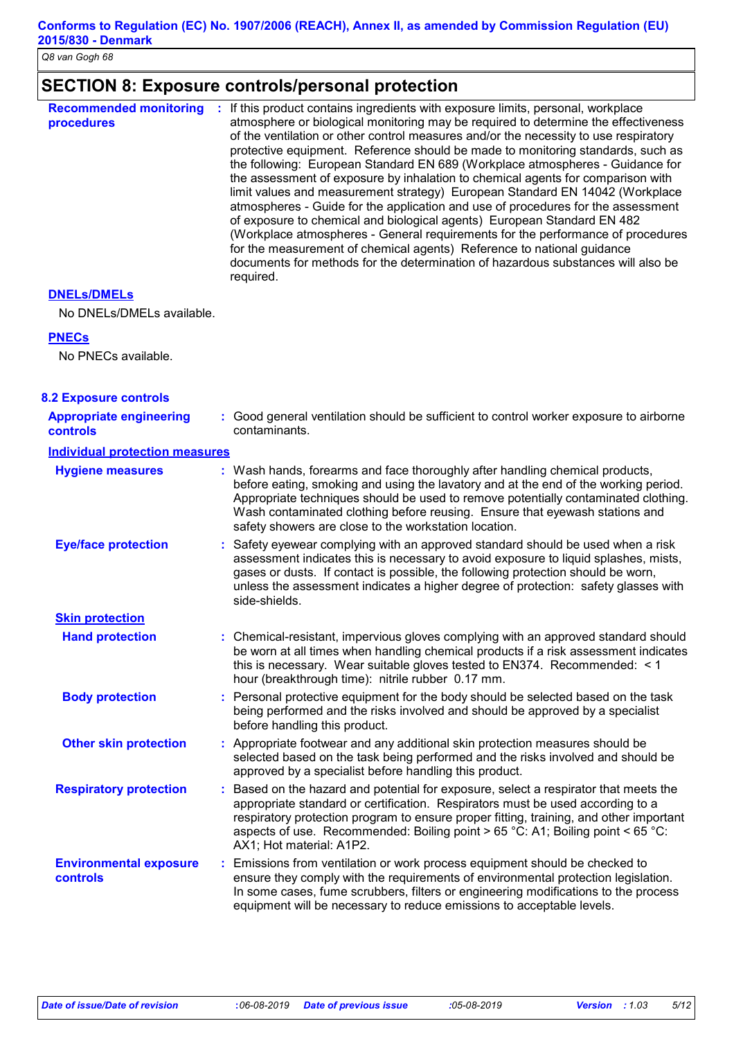# **SECTION 8: Exposure controls/personal protection**

| <b>Recommended monitoring</b><br>procedures | If this product contains ingredients with exposure limits, personal, workplace<br>÷<br>atmosphere or biological monitoring may be required to determine the effectiveness<br>of the ventilation or other control measures and/or the necessity to use respiratory<br>protective equipment. Reference should be made to monitoring standards, such as<br>the following: European Standard EN 689 (Workplace atmospheres - Guidance for<br>the assessment of exposure by inhalation to chemical agents for comparison with<br>limit values and measurement strategy) European Standard EN 14042 (Workplace<br>atmospheres - Guide for the application and use of procedures for the assessment<br>of exposure to chemical and biological agents) European Standard EN 482<br>(Workplace atmospheres - General requirements for the performance of procedures<br>for the measurement of chemical agents) Reference to national guidance<br>documents for methods for the determination of hazardous substances will also be<br>required. |
|---------------------------------------------|---------------------------------------------------------------------------------------------------------------------------------------------------------------------------------------------------------------------------------------------------------------------------------------------------------------------------------------------------------------------------------------------------------------------------------------------------------------------------------------------------------------------------------------------------------------------------------------------------------------------------------------------------------------------------------------------------------------------------------------------------------------------------------------------------------------------------------------------------------------------------------------------------------------------------------------------------------------------------------------------------------------------------------------|
|---------------------------------------------|---------------------------------------------------------------------------------------------------------------------------------------------------------------------------------------------------------------------------------------------------------------------------------------------------------------------------------------------------------------------------------------------------------------------------------------------------------------------------------------------------------------------------------------------------------------------------------------------------------------------------------------------------------------------------------------------------------------------------------------------------------------------------------------------------------------------------------------------------------------------------------------------------------------------------------------------------------------------------------------------------------------------------------------|

#### **DNELs/DMELs**

No DNELs/DMELs available.

#### **PNECs**

No PNECs available.

| <b>8.2 Exposure controls</b>                      |                                                                                                                                                                                                                                                                                                                                                                                                   |  |
|---------------------------------------------------|---------------------------------------------------------------------------------------------------------------------------------------------------------------------------------------------------------------------------------------------------------------------------------------------------------------------------------------------------------------------------------------------------|--|
| <b>Appropriate engineering</b><br><b>controls</b> | : Good general ventilation should be sufficient to control worker exposure to airborne<br>contaminants.                                                                                                                                                                                                                                                                                           |  |
| <b>Individual protection measures</b>             |                                                                                                                                                                                                                                                                                                                                                                                                   |  |
| <b>Hygiene measures</b>                           | : Wash hands, forearms and face thoroughly after handling chemical products,<br>before eating, smoking and using the lavatory and at the end of the working period.<br>Appropriate techniques should be used to remove potentially contaminated clothing.<br>Wash contaminated clothing before reusing. Ensure that eyewash stations and<br>safety showers are close to the workstation location. |  |
| <b>Eye/face protection</b>                        | : Safety eyewear complying with an approved standard should be used when a risk<br>assessment indicates this is necessary to avoid exposure to liquid splashes, mists,<br>gases or dusts. If contact is possible, the following protection should be worn,<br>unless the assessment indicates a higher degree of protection: safety glasses with<br>side-shields.                                 |  |
| <b>Skin protection</b>                            |                                                                                                                                                                                                                                                                                                                                                                                                   |  |
| <b>Hand protection</b>                            | : Chemical-resistant, impervious gloves complying with an approved standard should<br>be worn at all times when handling chemical products if a risk assessment indicates<br>this is necessary. Wear suitable gloves tested to EN374. Recommended: $\leq 1$<br>hour (breakthrough time): nitrile rubber 0.17 mm.                                                                                  |  |
| <b>Body protection</b>                            | : Personal protective equipment for the body should be selected based on the task<br>being performed and the risks involved and should be approved by a specialist<br>before handling this product.                                                                                                                                                                                               |  |
| <b>Other skin protection</b>                      | : Appropriate footwear and any additional skin protection measures should be<br>selected based on the task being performed and the risks involved and should be<br>approved by a specialist before handling this product.                                                                                                                                                                         |  |
| <b>Respiratory protection</b>                     | : Based on the hazard and potential for exposure, select a respirator that meets the<br>appropriate standard or certification. Respirators must be used according to a<br>respiratory protection program to ensure proper fitting, training, and other important<br>aspects of use. Recommended: Boiling point > 65 °C: A1; Boiling point < 65 °C:<br>AX1; Hot material: A1P2.                    |  |
| <b>Environmental exposure</b><br>controls         | : Emissions from ventilation or work process equipment should be checked to<br>ensure they comply with the requirements of environmental protection legislation.<br>In some cases, fume scrubbers, filters or engineering modifications to the process<br>equipment will be necessary to reduce emissions to acceptable levels.                                                                   |  |
|                                                   |                                                                                                                                                                                                                                                                                                                                                                                                   |  |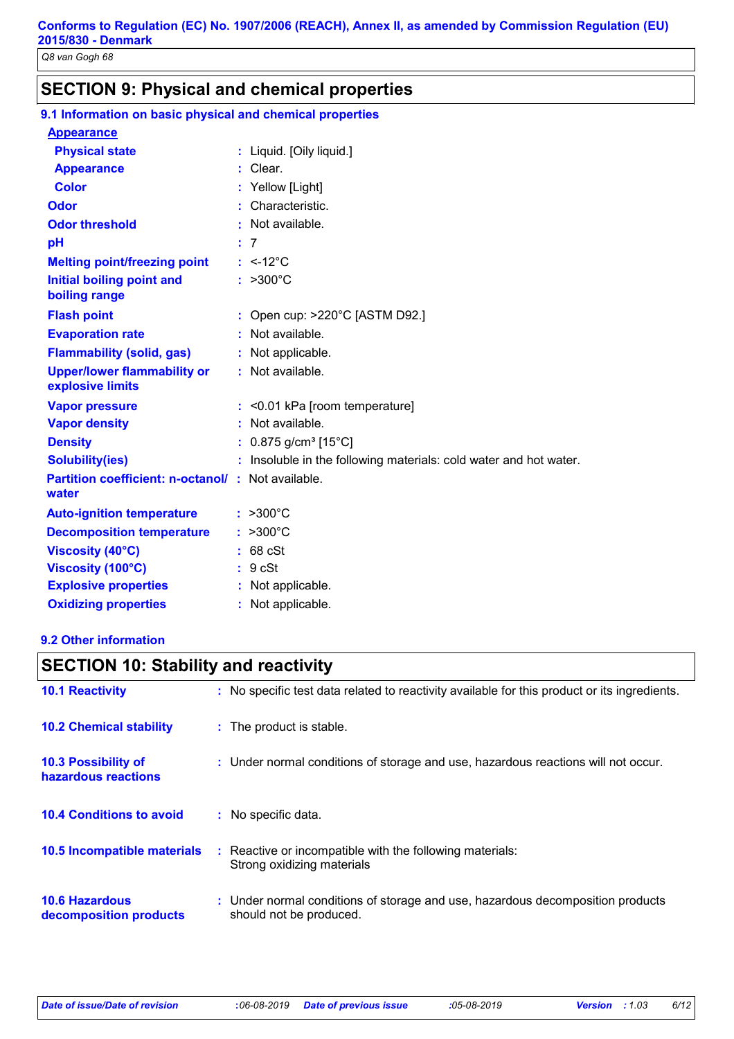# **SECTION 9: Physical and chemical properties**

| 9.1 Information on basic physical and chemical properties         |                                                                   |
|-------------------------------------------------------------------|-------------------------------------------------------------------|
| <b>Appearance</b>                                                 |                                                                   |
| <b>Physical state</b>                                             | : Liquid. [Oily liquid.]                                          |
| <b>Appearance</b>                                                 | $:$ Clear.                                                        |
| <b>Color</b>                                                      | : Yellow [Light]                                                  |
| Odor                                                              | : Characteristic.                                                 |
| <b>Odor threshold</b>                                             | : Not available.                                                  |
| pH                                                                | : 7                                                               |
| <b>Melting point/freezing point</b>                               | $: < -12^{\circ}$ C                                               |
| <b>Initial boiling point and</b><br>boiling range                 | $: >300^{\circ}C$                                                 |
| <b>Flash point</b>                                                | : Open cup: $>220^{\circ}$ C [ASTM D92.]                          |
| <b>Evaporation rate</b>                                           | : Not available.                                                  |
| <b>Flammability (solid, gas)</b>                                  | : Not applicable.                                                 |
| <b>Upper/lower flammability or</b><br>explosive limits            | : Not available.                                                  |
| <b>Vapor pressure</b>                                             | $:$ <0.01 kPa [room temperature]                                  |
| <b>Vapor density</b>                                              | : Not available.                                                  |
| <b>Density</b>                                                    | : $0.875$ g/cm <sup>3</sup> [15°C]                                |
| <b>Solubility(ies)</b>                                            | : Insoluble in the following materials: cold water and hot water. |
| <b>Partition coefficient: n-octanol/: Not available.</b><br>water |                                                                   |
| <b>Auto-ignition temperature</b>                                  | $: >300^{\circ}C$                                                 |
| <b>Decomposition temperature</b>                                  | $: >300^{\circ}C$                                                 |
| <b>Viscosity (40°C)</b>                                           | $: 68$ cSt                                                        |
| Viscosity (100°C)                                                 | : 9 cSt                                                           |
| <b>Explosive properties</b>                                       | : Not applicable.                                                 |
| <b>Oxidizing properties</b>                                       | : Not applicable.                                                 |

#### **9.2 Other information**

#### **10.6 Hazardous decomposition products 10.4 Conditions to avoid** Under normal conditions of storage and use, hazardous decomposition products **:** should not be produced. **10.2 Chemical stability** : Reactive or incompatible with the following materials: Strong oxidizing materials : The product is stable. : No specific data. **10.5 Incompatible materials : 10.3 Possibility of hazardous reactions :** Under normal conditions of storage and use, hazardous reactions will not occur. **SECTION 10: Stability and reactivity 10.1 Reactivity :** No specific test data related to reactivity available for this product or its ingredients.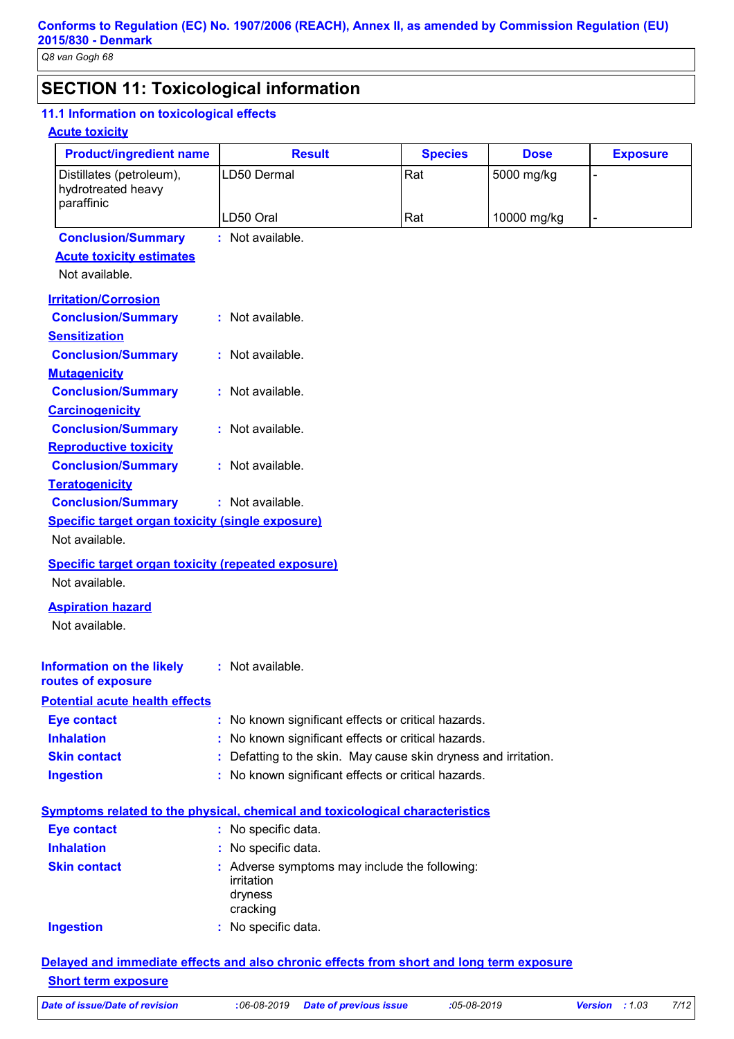# **SECTION 11: Toxicological information**

#### **11.1 Information on toxicological effects**

#### **Acute toxicity**

|                                            | <b>Product/ingredient name</b>                          | <b>Result</b>                                                                | <b>Species</b> | <b>Dose</b> | <b>Exposure</b> |
|--------------------------------------------|---------------------------------------------------------|------------------------------------------------------------------------------|----------------|-------------|-----------------|
|                                            | Distillates (petroleum),                                | LD50 Dermal                                                                  | Rat            | 5000 mg/kg  |                 |
|                                            | hydrotreated heavy                                      |                                                                              |                |             |                 |
| paraffinic                                 |                                                         | LD50 Oral                                                                    | Rat            | 10000 mg/kg |                 |
|                                            | <b>Conclusion/Summary</b>                               | : Not available.                                                             |                |             |                 |
|                                            | <b>Acute toxicity estimates</b>                         |                                                                              |                |             |                 |
| Not available.                             |                                                         |                                                                              |                |             |                 |
|                                            | <b>Irritation/Corrosion</b>                             |                                                                              |                |             |                 |
|                                            | <b>Conclusion/Summary</b>                               | : Not available.                                                             |                |             |                 |
| <b>Sensitization</b>                       |                                                         |                                                                              |                |             |                 |
|                                            | <b>Conclusion/Summary</b>                               | : Not available.                                                             |                |             |                 |
| <b>Mutagenicity</b>                        |                                                         |                                                                              |                |             |                 |
|                                            | <b>Conclusion/Summary</b>                               | : Not available.                                                             |                |             |                 |
| <b>Carcinogenicity</b>                     |                                                         |                                                                              |                |             |                 |
|                                            | <b>Conclusion/Summary</b>                               | : Not available.                                                             |                |             |                 |
|                                            | <b>Reproductive toxicity</b>                            |                                                                              |                |             |                 |
|                                            | <b>Conclusion/Summary</b>                               | : Not available.                                                             |                |             |                 |
| <b>Teratogenicity</b>                      |                                                         |                                                                              |                |             |                 |
|                                            | <b>Conclusion/Summary</b>                               | : Not available.                                                             |                |             |                 |
|                                            | <b>Specific target organ toxicity (single exposure)</b> |                                                                              |                |             |                 |
|                                            |                                                         |                                                                              |                |             |                 |
| Not available.                             |                                                         |                                                                              |                |             |                 |
| Not available.                             |                                                         | <b>Specific target organ toxicity (repeated exposure)</b>                    |                |             |                 |
| <b>Aspiration hazard</b><br>Not available. |                                                         |                                                                              |                |             |                 |
|                                            | <b>Information on the likely</b>                        | : Not available.                                                             |                |             |                 |
| routes of exposure                         |                                                         |                                                                              |                |             |                 |
|                                            | <b>Potential acute health effects</b>                   |                                                                              |                |             |                 |
| <b>Eye contact</b>                         |                                                         | : No known significant effects or critical hazards.                          |                |             |                 |
| <b>Inhalation</b>                          |                                                         | No known significant effects or critical hazards.                            |                |             |                 |
| <b>Skin contact</b>                        |                                                         | Defatting to the skin. May cause skin dryness and irritation.                |                |             |                 |
| <b>Ingestion</b>                           |                                                         | : No known significant effects or critical hazards.                          |                |             |                 |
|                                            |                                                         | Symptoms related to the physical, chemical and toxicological characteristics |                |             |                 |
|                                            |                                                         |                                                                              |                |             |                 |
| <b>Eye contact</b><br><b>Inhalation</b>    |                                                         | : No specific data.                                                          |                |             |                 |
|                                            |                                                         | : No specific data.                                                          |                |             |                 |
| <b>Skin contact</b>                        |                                                         | : Adverse symptoms may include the following:<br>irritation                  |                |             |                 |
|                                            |                                                         | dryness                                                                      |                |             |                 |
| <b>Ingestion</b>                           |                                                         | cracking<br>: No specific data.                                              |                |             |                 |

#### *Date of issue/Date of revision* **:***06-08-2019 Date of previous issue :05-08-2019 Version : 1.03 7/12*

**Short term exposure**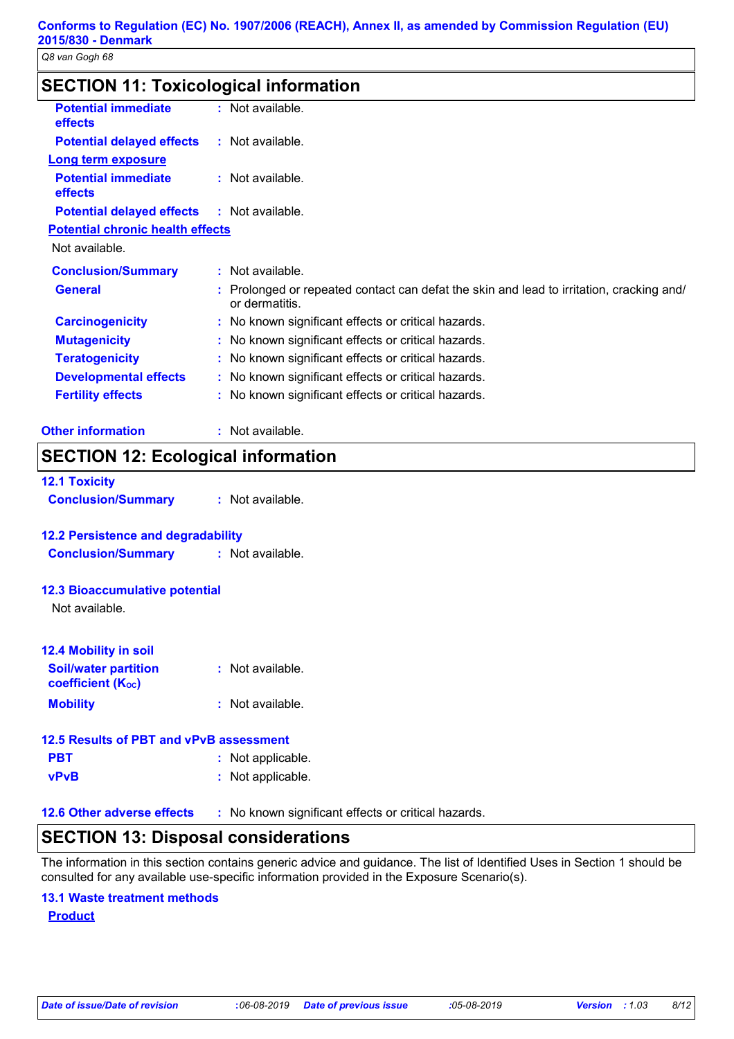# **SECTION 11: Toxicological information**

| <b>Potential immediate</b>              | : Not available.                                                                                           |
|-----------------------------------------|------------------------------------------------------------------------------------------------------------|
| effects                                 |                                                                                                            |
| <b>Potential delayed effects</b>        | : Not available.                                                                                           |
| <b>Long term exposure</b>               |                                                                                                            |
| <b>Potential immediate</b>              | : Not available.                                                                                           |
| effects                                 |                                                                                                            |
| <b>Potential delayed effects</b>        | : Not available.                                                                                           |
| <b>Potential chronic health effects</b> |                                                                                                            |
| Not available.                          |                                                                                                            |
| <b>Conclusion/Summary</b>               | : Not available.                                                                                           |
| <b>General</b>                          | : Prolonged or repeated contact can defat the skin and lead to irritation, cracking and/<br>or dermatitis. |
| <b>Carcinogenicity</b>                  | : No known significant effects or critical hazards.                                                        |
| <b>Mutagenicity</b>                     | : No known significant effects or critical hazards.                                                        |
| <b>Teratogenicity</b>                   | : No known significant effects or critical hazards.                                                        |
| <b>Developmental effects</b>            | : No known significant effects or critical hazards.                                                        |
| <b>Fertility effects</b>                | : No known significant effects or critical hazards.                                                        |
| <b>Other information</b>                | : Not available.                                                                                           |

# **SECTION 12: Ecological information**

| <b>12.1 Toxicity</b>      |                  |
|---------------------------|------------------|
| <b>Conclusion/Summary</b> | : Not available. |

#### **12.2 Persistence and degradability**

**Conclusion/Summary :** Not available.

#### **12.3 Bioaccumulative potential**

Not available.

| <b>12.4 Mobility in soil</b>                     |                  |
|--------------------------------------------------|------------------|
| <b>Soil/water partition</b><br>coefficient (Koc) | : Not available. |
| <b>Mobility</b>                                  | : Not available. |

#### **12.5 Results of PBT and vPvB assessment**

- **PBT :** Not applicable.
- **vPvB :** Not applicable.

**12.6 Other adverse effects** : No known significant effects or critical hazards.

### **SECTION 13: Disposal considerations**

The information in this section contains generic advice and guidance. The list of Identified Uses in Section 1 should be consulted for any available use-specific information provided in the Exposure Scenario(s).

#### **13.1 Waste treatment methods**

**Product**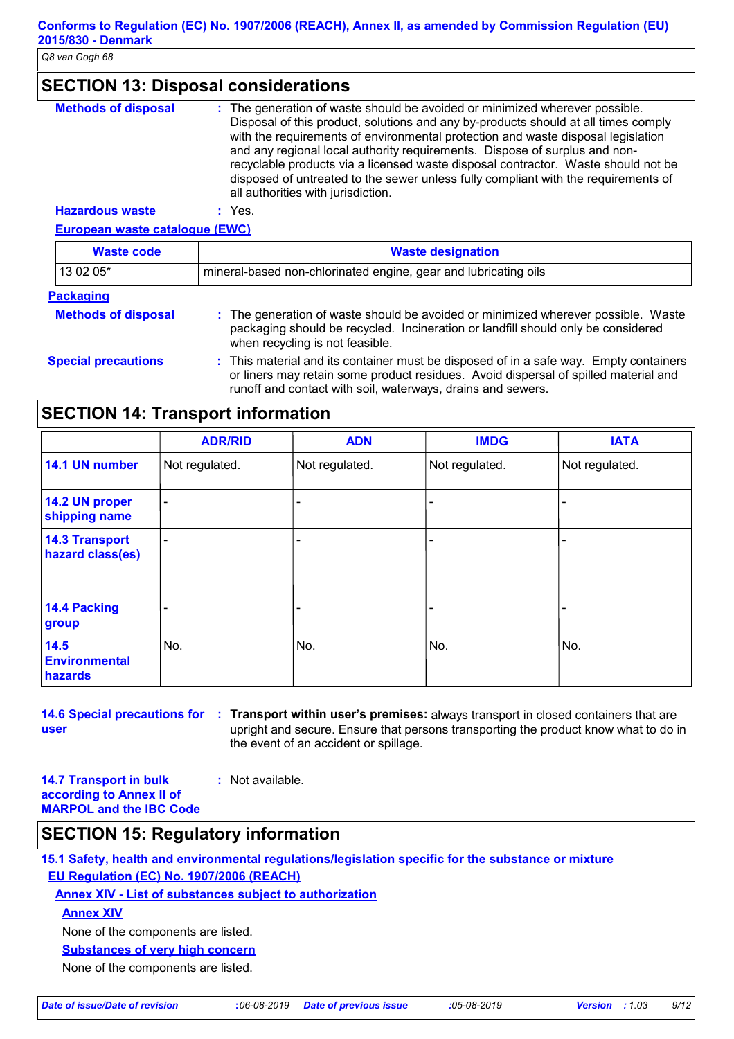# **SECTION 13: Disposal considerations**

| <b>Methods of disposal</b> | : The generation of waste should be avoided or minimized wherever possible.<br>Disposal of this product, solutions and any by-products should at all times comply<br>with the requirements of environmental protection and waste disposal legislation<br>and any regional local authority requirements. Dispose of surplus and non-<br>recyclable products via a licensed waste disposal contractor. Waste should not be<br>disposed of untreated to the sewer unless fully compliant with the requirements of<br>all authorities with jurisdiction. |
|----------------------------|------------------------------------------------------------------------------------------------------------------------------------------------------------------------------------------------------------------------------------------------------------------------------------------------------------------------------------------------------------------------------------------------------------------------------------------------------------------------------------------------------------------------------------------------------|
| Happedaug waats            | $\cdot$ $\sqrt{22}$                                                                                                                                                                                                                                                                                                                                                                                                                                                                                                                                  |

**European waste catalogue (EWC) Hazardous waste :** Yes.

| <b>Waste code</b>          | <b>Waste designation</b>                                                                                                                                                                                                                    |  |  |  |  |
|----------------------------|---------------------------------------------------------------------------------------------------------------------------------------------------------------------------------------------------------------------------------------------|--|--|--|--|
| 13 02 05*                  | mineral-based non-chlorinated engine, gear and lubricating oils                                                                                                                                                                             |  |  |  |  |
| <b>Packaging</b>           |                                                                                                                                                                                                                                             |  |  |  |  |
| <b>Methods of disposal</b> | : The generation of waste should be avoided or minimized wherever possible. Waste<br>packaging should be recycled. Incineration or landfill should only be considered<br>when recycling is not feasible.                                    |  |  |  |  |
| <b>Special precautions</b> | : This material and its container must be disposed of in a safe way. Empty containers<br>or liners may retain some product residues. Avoid dispersal of spilled material and<br>runoff and contact with soil, waterways, drains and sewers. |  |  |  |  |

# **SECTION 14: Transport information**

|                                           | <b>ADR/RID</b>           | <b>ADN</b>     | <b>IMDG</b>    | <b>IATA</b>    |
|-------------------------------------------|--------------------------|----------------|----------------|----------------|
| 14.1 UN number                            | Not regulated.           | Not regulated. | Not regulated. | Not regulated. |
| 14.2 UN proper<br>shipping name           | $\blacksquare$           |                |                |                |
| <b>14.3 Transport</b><br>hazard class(es) | $\overline{\phantom{a}}$ |                | ۰              |                |
| 14.4 Packing<br>group                     |                          |                | -              |                |
| 14.5<br><b>Environmental</b><br>hazards   | No.                      | No.            | No.            | No.            |

**user**

**14.6 Special precautions for Transport within user's premises:** always transport in closed containers that are **:** upright and secure. Ensure that persons transporting the product know what to do in the event of an accident or spillage.

**14.7 Transport in bulk according to Annex II of MARPOL and the IBC Code :** Not available.

# **SECTION 15: Regulatory information**

**15.1 Safety, health and environmental regulations/legislation specific for the substance or mixture EU Regulation (EC) No. 1907/2006 (REACH)**

**Annex XIV - List of substances subject to authorization**

**Annex XIV**

None of the components are listed.

**Substances of very high concern**

None of the components are listed.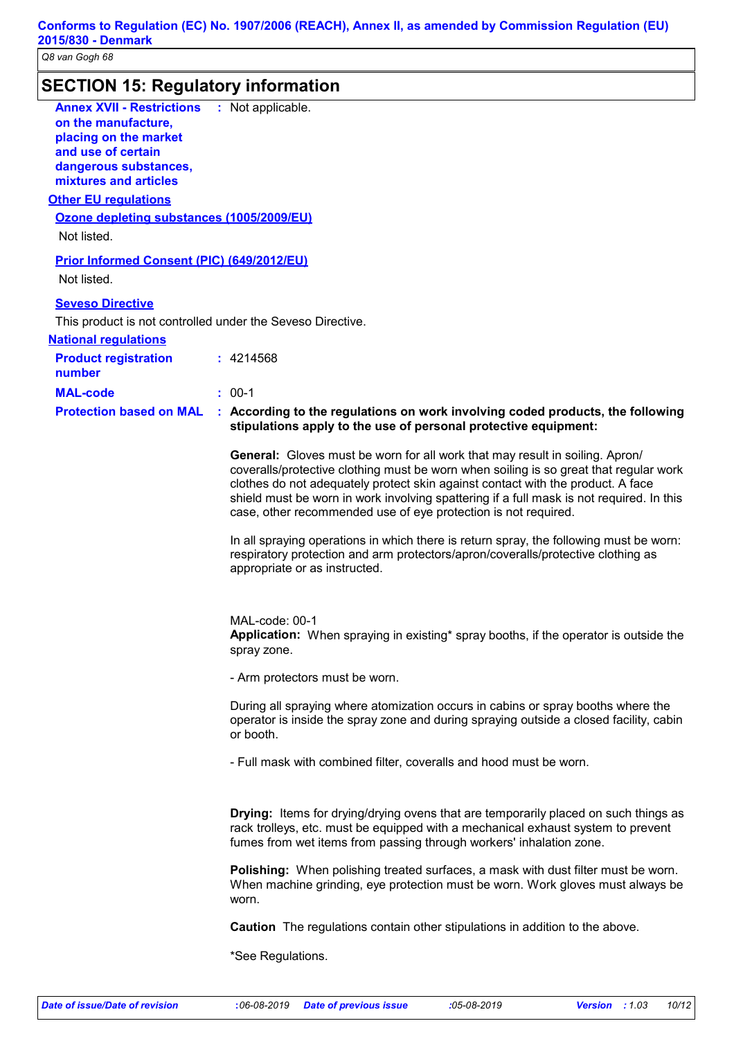| <b>Annex XVII - Restrictions : Not applicable.</b><br>on the manufacture,<br>placing on the market<br>and use of certain<br>dangerous substances,<br>mixtures and articles<br><b>Other EU regulations</b><br>Ozone depleting substances (1005/2009/EU)<br>Not listed. |                                                                                                                                                                                                                                                                                                                                                                                                                                                                                                                  |
|-----------------------------------------------------------------------------------------------------------------------------------------------------------------------------------------------------------------------------------------------------------------------|------------------------------------------------------------------------------------------------------------------------------------------------------------------------------------------------------------------------------------------------------------------------------------------------------------------------------------------------------------------------------------------------------------------------------------------------------------------------------------------------------------------|
| Prior Informed Consent (PIC) (649/2012/EU)<br>Not listed.                                                                                                                                                                                                             |                                                                                                                                                                                                                                                                                                                                                                                                                                                                                                                  |
| <b>Seveso Directive</b><br>This product is not controlled under the Seveso Directive.                                                                                                                                                                                 |                                                                                                                                                                                                                                                                                                                                                                                                                                                                                                                  |
| <b>National requlations</b><br><b>Product registration</b><br>number                                                                                                                                                                                                  | : 4214568                                                                                                                                                                                                                                                                                                                                                                                                                                                                                                        |
| <b>MAL-code</b>                                                                                                                                                                                                                                                       | $: 00-1$                                                                                                                                                                                                                                                                                                                                                                                                                                                                                                         |
| <b>Protection based on MAL</b>                                                                                                                                                                                                                                        | : According to the regulations on work involving coded products, the following<br>stipulations apply to the use of personal protective equipment:                                                                                                                                                                                                                                                                                                                                                                |
|                                                                                                                                                                                                                                                                       | General: Gloves must be worn for all work that may result in soiling. Apron/<br>coveralls/protective clothing must be worn when soiling is so great that regular work<br>clothes do not adequately protect skin against contact with the product. A face<br>shield must be worn in work involving spattering if a full mask is not required. In this<br>case, other recommended use of eye protection is not required.<br>In all spraying operations in which there is return spray, the following must be worn: |
|                                                                                                                                                                                                                                                                       | respiratory protection and arm protectors/apron/coveralls/protective clothing as<br>appropriate or as instructed.<br>MAL-code: 00-1<br>Application: When spraying in existing* spray booths, if the operator is outside the<br>spray zone.                                                                                                                                                                                                                                                                       |
|                                                                                                                                                                                                                                                                       | - Arm protectors must be worn.                                                                                                                                                                                                                                                                                                                                                                                                                                                                                   |
|                                                                                                                                                                                                                                                                       | During all spraying where atomization occurs in cabins or spray booths where the<br>operator is inside the spray zone and during spraying outside a closed facility, cabin<br>or booth.                                                                                                                                                                                                                                                                                                                          |
|                                                                                                                                                                                                                                                                       | - Full mask with combined filter, coveralls and hood must be worn.                                                                                                                                                                                                                                                                                                                                                                                                                                               |
|                                                                                                                                                                                                                                                                       | <b>Drying:</b> Items for drying/drying ovens that are temporarily placed on such things as<br>rack trolleys, etc. must be equipped with a mechanical exhaust system to prevent<br>fumes from wet items from passing through workers' inhalation zone.                                                                                                                                                                                                                                                            |
|                                                                                                                                                                                                                                                                       | Polishing: When polishing treated surfaces, a mask with dust filter must be worn.<br>When machine grinding, eye protection must be worn. Work gloves must always be<br>worn.                                                                                                                                                                                                                                                                                                                                     |
|                                                                                                                                                                                                                                                                       | <b>Caution</b> The regulations contain other stipulations in addition to the above.                                                                                                                                                                                                                                                                                                                                                                                                                              |
|                                                                                                                                                                                                                                                                       | *See Regulations.                                                                                                                                                                                                                                                                                                                                                                                                                                                                                                |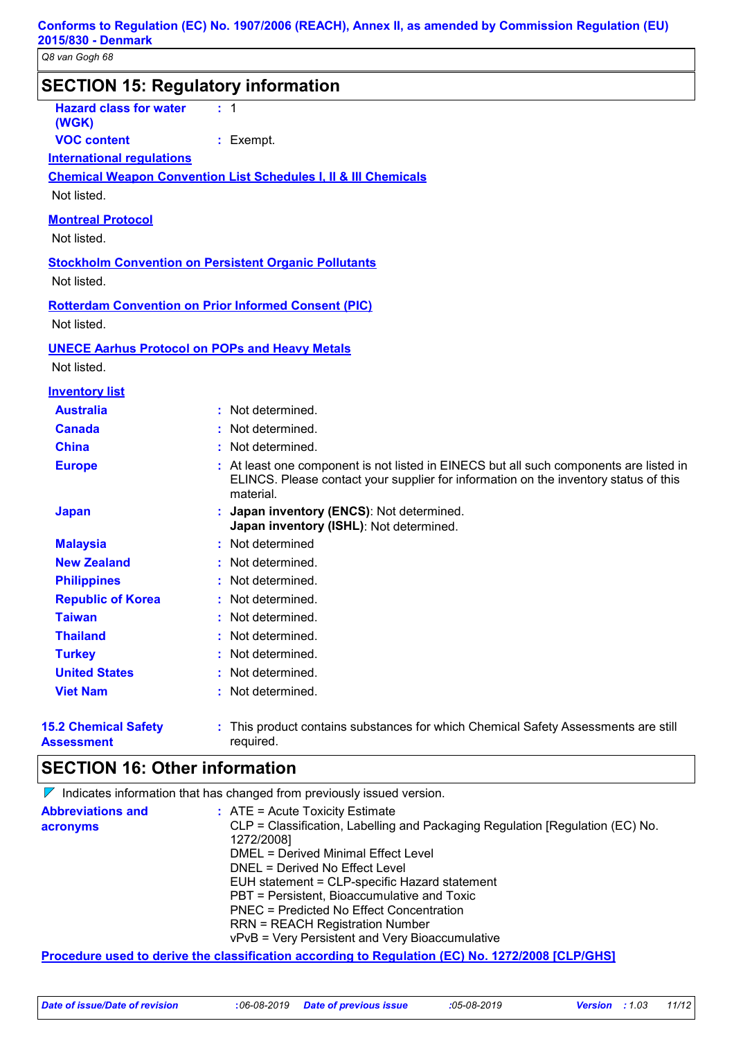| <b>SECTION 15: Regulatory information</b>        |                                                                                                                                                                                             |
|--------------------------------------------------|---------------------------------------------------------------------------------------------------------------------------------------------------------------------------------------------|
| <b>Hazard class for water</b><br>(WGK)           | : 1                                                                                                                                                                                         |
| <b>VOC content</b>                               | $:$ Exempt.                                                                                                                                                                                 |
| <b>International requlations</b>                 |                                                                                                                                                                                             |
|                                                  | <b>Chemical Weapon Convention List Schedules I, II &amp; III Chemicals</b>                                                                                                                  |
| Not listed.                                      |                                                                                                                                                                                             |
|                                                  |                                                                                                                                                                                             |
| <b>Montreal Protocol</b>                         |                                                                                                                                                                                             |
| Not listed.                                      |                                                                                                                                                                                             |
|                                                  | <b>Stockholm Convention on Persistent Organic Pollutants</b>                                                                                                                                |
| Not listed.                                      |                                                                                                                                                                                             |
|                                                  | <b>Rotterdam Convention on Prior Informed Consent (PIC)</b>                                                                                                                                 |
| Not listed.                                      |                                                                                                                                                                                             |
|                                                  |                                                                                                                                                                                             |
| Not listed.                                      | <b>UNECE Aarhus Protocol on POPs and Heavy Metals</b>                                                                                                                                       |
|                                                  |                                                                                                                                                                                             |
| <b>Inventory list</b>                            |                                                                                                                                                                                             |
| <b>Australia</b>                                 | : Not determined.                                                                                                                                                                           |
| <b>Canada</b>                                    | Not determined.                                                                                                                                                                             |
| <b>China</b>                                     | Not determined.                                                                                                                                                                             |
| <b>Europe</b>                                    | : At least one component is not listed in EINECS but all such components are listed in<br>ELINCS. Please contact your supplier for information on the inventory status of this<br>material. |
| <b>Japan</b>                                     | : Japan inventory (ENCS): Not determined.<br>Japan inventory (ISHL): Not determined.                                                                                                        |
| <b>Malaysia</b>                                  | : Not determined                                                                                                                                                                            |
| <b>New Zealand</b>                               | Not determined.                                                                                                                                                                             |
| <b>Philippines</b>                               | Not determined.                                                                                                                                                                             |
| <b>Republic of Korea</b>                         | : Not determined.                                                                                                                                                                           |
| <b>Taiwan</b>                                    | Not determined                                                                                                                                                                              |
| <b>Thailand</b>                                  | : Not determined.                                                                                                                                                                           |
| <b>Turkey</b>                                    | Not determined.                                                                                                                                                                             |
| <b>United States</b>                             | : Not determined.                                                                                                                                                                           |
| <b>Viet Nam</b>                                  | : Not determined.                                                                                                                                                                           |
| <b>15.2 Chemical Safety</b><br><b>Assessment</b> | : This product contains substances for which Chemical Safety Assessments are still<br>required.                                                                                             |

#### **SECTION 16: Other information**

|                                      | $\triangleright$ Indicates information that has changed from previously issued version.                                                                                                                                                                                                                                                                                                                                                                     |
|--------------------------------------|-------------------------------------------------------------------------------------------------------------------------------------------------------------------------------------------------------------------------------------------------------------------------------------------------------------------------------------------------------------------------------------------------------------------------------------------------------------|
| <b>Abbreviations and</b><br>acronyms | $\therefore$ ATE = Acute Toxicity Estimate<br>CLP = Classification, Labelling and Packaging Regulation [Regulation (EC) No.<br>1272/2008]<br>DMEL = Derived Minimal Effect Level<br>DNEL = Derived No Effect Level<br>EUH statement = CLP-specific Hazard statement<br>PBT = Persistent, Bioaccumulative and Toxic<br>PNEC = Predicted No Effect Concentration<br><b>RRN = REACH Registration Number</b><br>vPvB = Very Persistent and Very Bioaccumulative |
|                                      | <u>Procedure used to derive the classification according to Regulation (EC) No. 1272/2008 [CLP/GHS]</u>                                                                                                                                                                                                                                                                                                                                                     |